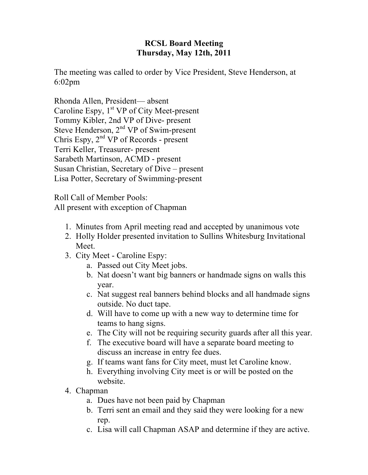## **RCSL Board Meeting Thursday, May 12th, 2011**

The meeting was called to order by Vice President, Steve Henderson, at 6:02pm

Rhonda Allen, President— absent Caroline Espy,  $1<sup>st</sup> VP$  of City Meet-present Tommy Kibler, 2nd VP of Dive- present Steve Henderson,  $2<sup>nd</sup> VP$  of Swim-present Chris Espy, 2nd VP of Records - present Terri Keller, Treasurer- present Sarabeth Martinson, ACMD - present Susan Christian, Secretary of Dive – present Lisa Potter, Secretary of Swimming-present

Roll Call of Member Pools: All present with exception of Chapman

- 1. Minutes from April meeting read and accepted by unanimous vote
- 2. Holly Holder presented invitation to Sullins Whitesburg Invitational Meet.
- 3. City Meet Caroline Espy:
	- a. Passed out City Meet jobs.
	- b. Nat doesn't want big banners or handmade signs on walls this year.
	- c. Nat suggest real banners behind blocks and all handmade signs outside. No duct tape.
	- d. Will have to come up with a new way to determine time for teams to hang signs.
	- e. The City will not be requiring security guards after all this year.
	- f. The executive board will have a separate board meeting to discuss an increase in entry fee dues.
	- g. If teams want fans for City meet, must let Caroline know.
	- h. Everything involving City meet is or will be posted on the website.
- 4. Chapman
	- a. Dues have not been paid by Chapman
	- b. Terri sent an email and they said they were looking for a new rep.
	- c. Lisa will call Chapman ASAP and determine if they are active.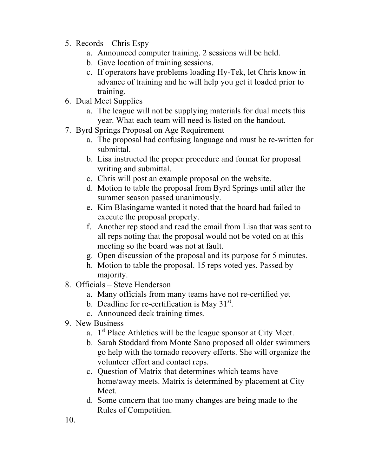- 5. Records Chris Espy
	- a. Announced computer training. 2 sessions will be held.
	- b. Gave location of training sessions.
	- c. If operators have problems loading Hy-Tek, let Chris know in advance of training and he will help you get it loaded prior to training.
- 6. Dual Meet Supplies
	- a. The league will not be supplying materials for dual meets this year. What each team will need is listed on the handout.
- 7. Byrd Springs Proposal on Age Requirement
	- a. The proposal had confusing language and must be re-written for submittal.
	- b. Lisa instructed the proper procedure and format for proposal writing and submittal.
	- c. Chris will post an example proposal on the website.
	- d. Motion to table the proposal from Byrd Springs until after the summer season passed unanimously.
	- e. Kim Blasingame wanted it noted that the board had failed to execute the proposal properly.
	- f. Another rep stood and read the email from Lisa that was sent to all reps noting that the proposal would not be voted on at this meeting so the board was not at fault.
	- g. Open discussion of the proposal and its purpose for 5 minutes.
	- h. Motion to table the proposal. 15 reps voted yes. Passed by majority.
- 8. Officials Steve Henderson
	- a. Many officials from many teams have not re-certified yet
	- b. Deadline for re-certification is May  $31<sup>st</sup>$ .
	- c. Announced deck training times.
- 9. New Business
	- a.  $1<sup>st</sup>$  Place Athletics will be the league sponsor at City Meet.
	- b. Sarah Stoddard from Monte Sano proposed all older swimmers go help with the tornado recovery efforts. She will organize the volunteer effort and contact reps.
	- c. Question of Matrix that determines which teams have home/away meets. Matrix is determined by placement at City Meet.
	- d. Some concern that too many changes are being made to the Rules of Competition.

10.